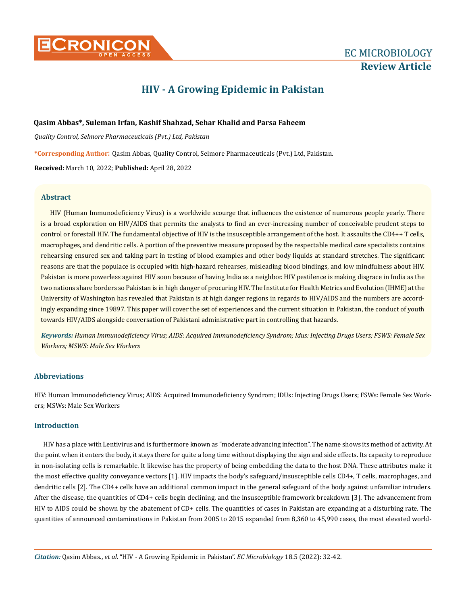

# **HIV - A Growing Epidemic in Pakistan**

# **Qasim Abbas\*, Suleman Irfan, Kashif Shahzad, Sehar Khalid and Parsa Faheem**

*Quality Control, Selmore Pharmaceuticals (Pvt.) Ltd, Pakistan*

**\*Corresponding Author**: Qasim Abbas, Quality Control, Selmore Pharmaceuticals (Pvt.) Ltd, Pakistan.

**Received:** March 10, 2022; **Published:** April 28, 2022

# **Abstract**

HIV (Human Immunodeficiency Virus) is a worldwide scourge that influences the existence of numerous people yearly. There is a broad exploration on HIV/AIDS that permits the analysts to find an ever-increasing number of conceivable prudent steps to control or forestall HIV. The fundamental objective of HIV is the insusceptible arrangement of the host. It assaults the CD4++ T cells, macrophages, and dendritic cells. A portion of the preventive measure proposed by the respectable medical care specialists contains rehearsing ensured sex and taking part in testing of blood examples and other body liquids at standard stretches. The significant reasons are that the populace is occupied with high-hazard rehearses, misleading blood bindings, and low mindfulness about HIV. Pakistan is more powerless against HIV soon because of having India as a neighbor. HIV pestilence is making disgrace in India as the two nations share borders so Pakistan is in high danger of procuring HIV. The Institute for Health Metrics and Evolution (IHME) at the University of Washington has revealed that Pakistan is at high danger regions in regards to HIV/AIDS and the numbers are accordingly expanding since 19897. This paper will cover the set of experiences and the current situation in Pakistan, the conduct of youth towards HIV/AIDS alongside conversation of Pakistani administrative part in controlling that hazards.

*Keywords: Human Immunodeficiency Virus; AIDS: Acquired Immunodeficiency Syndrom; Idus: Injecting Drugs Users; FSWS: Female Sex Workers; MSWS: Male Sex Workers*

# **Abbreviations**

HIV: Human Immunodeficiency Virus; AIDS: Acquired Immunodeficiency Syndrom; IDUs: Injecting Drugs Users; FSWs: Female Sex Workers; MSWs: Male Sex Workers

# **Introduction**

HIV has a place with Lentivirus and is furthermore known as "moderate advancing infection". The name shows its method of activity. At the point when it enters the body, it stays there for quite a long time without displaying the sign and side effects. Its capacity to reproduce in non-isolating cells is remarkable. It likewise has the property of being embedding the data to the host DNA. These attributes make it the most effective quality conveyance vectors [1]. HIV impacts the body's safeguard/insusceptible cells CD4+, T cells, macrophages, and dendritic cells [2]. The CD4+ cells have an additional common impact in the general safeguard of the body against unfamiliar intruders. After the disease, the quantities of CD4+ cells begin declining, and the insusceptible framework breakdown [3]. The advancement from HIV to AIDS could be shown by the abatement of CD+ cells. The quantities of cases in Pakistan are expanding at a disturbing rate. The quantities of announced contaminations in Pakistan from 2005 to 2015 expanded from 8,360 to 45,990 cases, the most elevated world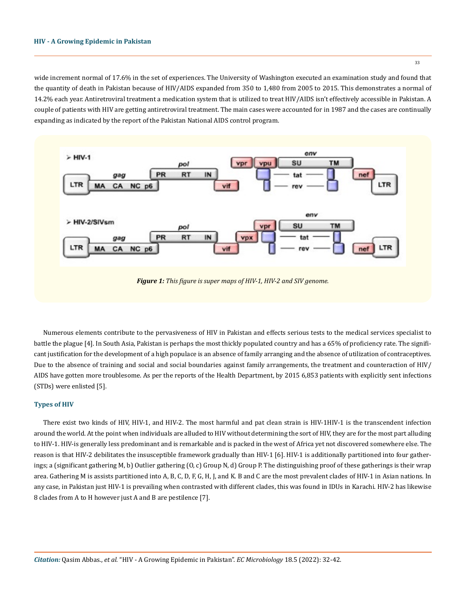wide increment normal of 17.6% in the set of experiences. The University of Washington executed an examination study and found that the quantity of death in Pakistan because of HIV/AIDS expanded from 350 to 1,480 from 2005 to 2015. This demonstrates a normal of 14.2% each year. Antiretroviral treatment a medication system that is utilized to treat HIV/AIDS isn't effectively accessible in Pakistan. A couple of patients with HIV are getting antiretroviral treatment. The main cases were accounted for in 1987 and the cases are continually expanding as indicated by the report of the Pakistan National AIDS control program.



*Figure 1: This figure is super maps of HIV-1, HIV-2 and SIV genome.*

Numerous elements contribute to the pervasiveness of HIV in Pakistan and effects serious tests to the medical services specialist to battle the plague [4]. In South Asia, Pakistan is perhaps the most thickly populated country and has a 65% of proficiency rate. The significant justification for the development of a high populace is an absence of family arranging and the absence of utilization of contraceptives. Due to the absence of training and social and social boundaries against family arrangements, the treatment and counteraction of HIV/ AIDS have gotten more troublesome. As per the reports of the Health Department, by 2015 6,853 patients with explicitly sent infections (STDs) were enlisted [5].

#### **Types of HIV**

There exist two kinds of HIV, HIV-1, and HIV-2. The most harmful and pat clean strain is HIV-1HIV-1 is the transcendent infection around the world. At the point when individuals are alluded to HIV without determining the sort of HIV, they are for the most part alluding to HIV-1. HIV-is generally less predominant and is remarkable and is packed in the west of Africa yet not discovered somewhere else. The reason is that HIV-2 debilitates the insusceptible framework gradually than HIV-1 [6]. HIV-1 is additionally partitioned into four gatherings; a (significant gathering M, b) Outlier gathering (O, c) Group N, d) Group P. The distinguishing proof of these gatherings is their wrap area. Gathering M is assists partitioned into A, B, C, D, F, G, H, J, and K. B and C are the most prevalent clades of HIV-1 in Asian nations. In any case, in Pakistan just HIV-1 is prevailing when contrasted with different clades, this was found in IDUs in Karachi. HIV-2 has likewise 8 clades from A to H however just A and B are pestilence [7].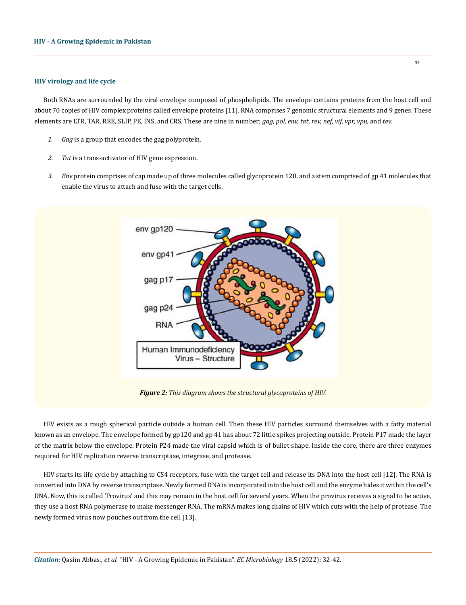# **HIV virology and life cycle**

Both RNAs are surrounded by the viral envelope composed of phospholipids. The envelope contains proteins from the host cell and about 70 copies of HIV complex proteins called envelope proteins [11]. RNA comprises 7 genomic structural elements and 9 genes. These elements are LTR, TAR, RRE, SLIP, PE, INS, and CRS. These are nine in number; *gag, pol, env, tat, rev, nef, vif, vpr, vpu,* and *tev.*

- *1. Gag* is a group that encodes the gag polyprotein.
- *2. Tat* is a trans-activator of HIV gene expression.
- *3. Env* protein comprises of cap made up of three molecules called glycoprotein 120, and a stem comprised of gp 41 molecules that enable the virus to attach and fuse with the target cells.



*Figure 2: This diagram shows the structural glycoproteins of HIV.*

HIV exists as a rough spherical particle outside a human cell. Then these HIV particles surround themselves with a fatty material known as an envelope. The envelope formed by gp120 and gp 41 has about 72 little spikes projecting outside. Protein P17 made the layer of the matrix below the envelope. Protein P24 made the viral capsid which is of bullet shape. Inside the core, there are three enzymes required for HIV replication reverse transcriptase, integrase, and protease.

HIV starts its life cycle by attaching to CS4 receptors, fuse with the target cell and release its DNA into the host cell [12]. The RNA is converted into DNA by reverse transcriptase. Newly formed DNA is incorporated into the host cell and the enzyme hides it within the cell's DNA. Now, this is called 'Provirus' and this may remain in the host cell for several years. When the provirus receives a signal to be active, they use a host RNA polymerase to make messenger RNA. The mRNA makes long chains of HIV which cuts with the help of protease. The newly formed virus now pouches out from the cell [13].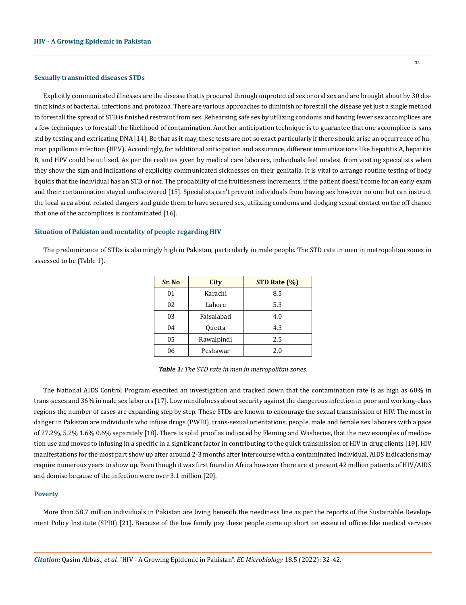#### **Sexually transmitted diseases STDs**

Explicitly communicated illnesses are the disease that is procured through unprotected sex or oral sex and are brought about by 30 distinct kinds of bacterial, infections and protozoa. There are various approaches to diminish or forestall the disease yet just a single method to forestall the spread of STD is finished restraint from sex. Rehearsing safe sex by utilizing condoms and having fewer sex accomplices are a few techniques to forestall the likelihood of contamination. Another anticipation technique is to guarantee that one accomplice is sans std by testing and extricating DNA [14]. Be that as it may, these tests are not so exact particularly if there should arise an occurrence of human papilloma infection (HPV). Accordingly, for additional anticipation and assurance, different immunizations like hepatitis A, hepatitis B, and HPV could be utilized. As per the realities given by medical care laborers, individuals feel modest from visiting specialists when they show the sign and indications of explicitly communicated sicknesses on their genitalia. It is vital to arrange routine testing of body liquids that the individual has an STD or not. The probability of the fruitlessness increments, if the patient doesn't come for an early exam and their contamination stayed undiscovered [15]. Specialists can't prevent individuals from having sex however no one but can instruct the local area about related dangers and guide them to have secured sex, utilizing condoms and dodging sexual contact on the off chance that one of the accomplices is contaminated [16].

#### **Situation of Pakistan and mentality of people regarding HIV**

The predominance of STDs is alarmingly high in Pakistan, particularly in male people. The STD rate in men in metropolitan zones in assessed to be (Table 1).

| Sr. No | <b>City</b> | STD Rate (%) |
|--------|-------------|--------------|
| 01     | Karachi     | 8.5          |
| 02     | Lahore      | 5.3          |
| 03     | Faisalabad  | 4.0          |
| 04     | Quetta      | 4.3          |
| 05     | Rawalpindi  | 2.5          |
| 06     | Peshawar    | 2.0          |

*Table 1: The STD rate in men in metropolitan zones.*

The National AIDS Control Program executed an investigation and tracked down that the contamination rate is as high as 60% in trans-sexes and 36% in male sex laborers [17]. Low mindfulness about security against the dangerous infection in poor and working-class regions the number of cases are expanding step by step. These STDs are known to encourage the sexual transmission of HIV. The most in danger in Pakistan are individuals who infuse drugs (PWID), trans-sexual orientations, people, male and female sex laborers with a pace of 27.2%, 5.2% 1.6% 0.6% separately [18]. There is solid proof as indicated by Fleming and Washeries, that the new examples of medication use and moves to infusing in a specific in a significant factor in contributing to the quick transmission of HIV in drug clients [19]. HIV manifestations for the most part show up after around 2-3 months after intercourse with a contaminated individual, AIDS indications may require numerous years to show up. Even though it was first found in Africa however there are at present 42 million patients of HIV/AIDS and demise because of the infection were over 3.1 million [20].

#### **Poverty**

More than 58.7 million individuals in Pakistan are living beneath the neediness line as per the reports of the Sustainable Development Policy Institute (SPDI) [21]. Because of the low family pay these people come up short on essential offices like medical services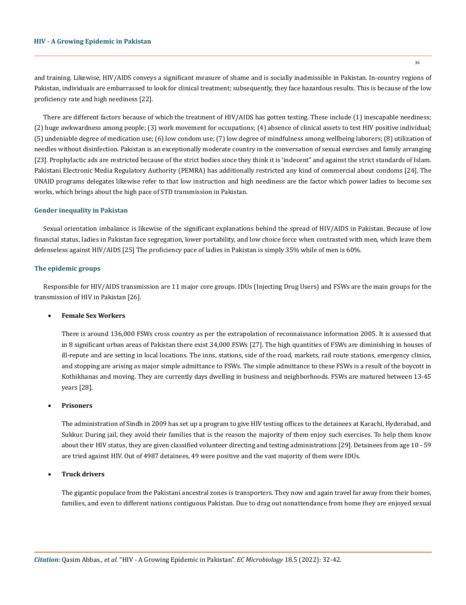and training. Likewise, HIV/AIDS conveys a significant measure of shame and is socially inadmissible in Pakistan. In-country regions of Pakistan, individuals are embarrassed to look for clinical treatment; subsequently, they face hazardous results. This is because of the low proficiency rate and high neediness [22].

There are different factors because of which the treatment of HIV/AIDS has gotten testing. These include (1) inescapable neediness; (2) huge awkwardness among people; (3) work movement for occupations; (4) absence of clinical assets to test HIV positive individual; (5) undeniable degree of medication use; (6) low condom use; (7) low degree of mindfulness among wellbeing laborers; (8) utilization of needles without disinfection. Pakistan is an exceptionally moderate country in the conversation of sexual exercises and family arranging [23]. Prophylactic ads are restricted because of the strict bodies since they think it is 'indecent" and against the strict standards of Islam. Pakistani Electronic Media Regulatory Authority (PEMRA) has additionally restricted any kind of commercial about condoms [24]. The UNAID programs delegates likewise refer to that low instruction and high neediness are the factor which power ladies to become sex works, which brings about the high pace of STD transmission in Pakistan.

#### **Gender inequality in Pakistan**

Sexual orientation imbalance is likewise of the significant explanations behind the spread of HIV/AIDS in Pakistan. Because of low financial status, ladies in Pakistan face segregation, lower portability, and low choice force when contrasted with men, which leave them defenseless against HIV/AIDS [25] The proficiency pace of ladies in Pakistan is simply 35% while of men is 60%.

## **The epidemic groups**

Responsible for HIV/AIDS transmission are 11 major core groups. IDUs (Injecting Drug Users) and FSWs are the main groups for the transmission of HIV in Pakistan [26].

#### **Female Sex Workers**

There is around 136,000 FSWs cross country as per the extrapolation of reconnaissance information 2005. It is assessed that in 8 significant urban areas of Pakistan there exist 34,000 FSWs [27]. The high quantities of FSWs are diminishing in houses of ill-repute and are setting in local locations. The inns, stations, side of the road, markets, rail route stations, emergency clinics, and stopping are arising as major simple admittance to FSWs. The simple admittance to these FSWs is a result of the boycott in Kothikhanas and moving. They are currently days dwelling in business and neighborhoods. FSWs are matured between 13-45 years [28].

# **Prisoners**

The administration of Sindh in 2009 has set up a program to give HIV testing offices to the detainees at Karachi, Hyderabad, and Sukkur. During jail, they avoid their families that is the reason the majority of them enjoy such exercises. To help them know about their HIV status, they are given classified volunteer directing and testing administrations [29]. Detainees from age 10 - 59 are tried against HIV. Out of 4987 detainees, 49 were positive and the vast majority of them were IDUs.

## **Truck drivers**

The gigantic populace from the Pakistani ancestral zones is transporters. They now and again travel far away from their homes, families, and even to different nations contiguous Pakistan. Due to drag out nonattendance from home they are enjoyed sexual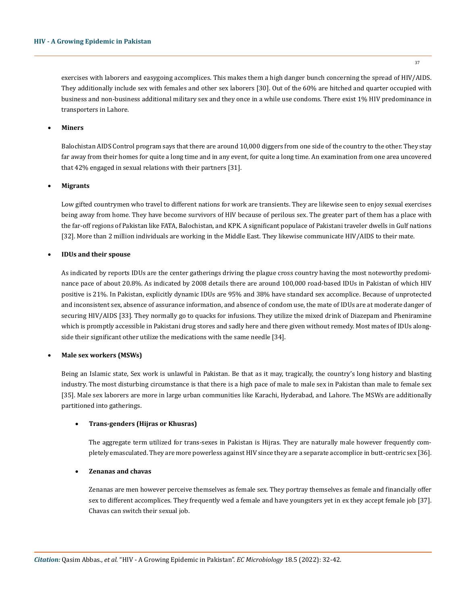exercises with laborers and easygoing accomplices. This makes them a high danger bunch concerning the spread of HIV/AIDS. They additionally include sex with females and other sex laborers [30]. Out of the 60% are hitched and quarter occupied with business and non-business additional military sex and they once in a while use condoms. There exist 1% HIV predominance in transporters in Lahore.

# • **Miners**

Balochistan AIDS Control program says that there are around 10,000 diggers from one side of the country to the other. They stay far away from their homes for quite a long time and in any event, for quite a long time. An examination from one area uncovered that 42% engaged in sexual relations with their partners [31].

# **Migrants**

Low gifted countrymen who travel to different nations for work are transients. They are likewise seen to enjoy sexual exercises being away from home. They have become survivors of HIV because of perilous sex. The greater part of them has a place with the far-off regions of Pakistan like FATA, Balochistan, and KPK. A significant populace of Pakistani traveler dwells in Gulf nations [32]. More than 2 million individuals are working in the Middle East. They likewise communicate HIV/AIDS to their mate.

# **IDUs and their spouse**

As indicated by reports IDUs are the center gatherings driving the plague cross country having the most noteworthy predominance pace of about 20.8%. As indicated by 2008 details there are around 100,000 road-based IDUs in Pakistan of which HIV positive is 21%. In Pakistan, explicitly dynamic IDUs are 95% and 38% have standard sex accomplice. Because of unprotected and inconsistent sex, absence of assurance information, and absence of condom use, the mate of IDUs are at moderate danger of securing HIV/AIDS [33]. They normally go to quacks for infusions. They utilize the mixed drink of Diazepam and Pheniramine which is promptly accessible in Pakistani drug stores and sadly here and there given without remedy. Most mates of IDUs alongside their significant other utilize the medications with the same needle [34].

# **Male sex workers (MSWs)**

Being an Islamic state, Sex work is unlawful in Pakistan. Be that as it may, tragically, the country's long history and blasting industry. The most disturbing circumstance is that there is a high pace of male to male sex in Pakistan than male to female sex [35]. Male sex laborers are more in large urban communities like Karachi, Hyderabad, and Lahore. The MSWs are additionally partitioned into gatherings.

# • **Trans-genders (Hijras or Khusras)**

The aggregate term utilized for trans-sexes in Pakistan is Hijras. They are naturally male however frequently completely emasculated. They are more powerless against HIV since they are a separate accomplice in butt-centric sex [36].

# • **Zenanas and chavas**

Zenanas are men however perceive themselves as female sex. They portray themselves as female and financially offer sex to different accomplices. They frequently wed a female and have youngsters yet in ex they accept female job [37]. Chavas can switch their sexual job.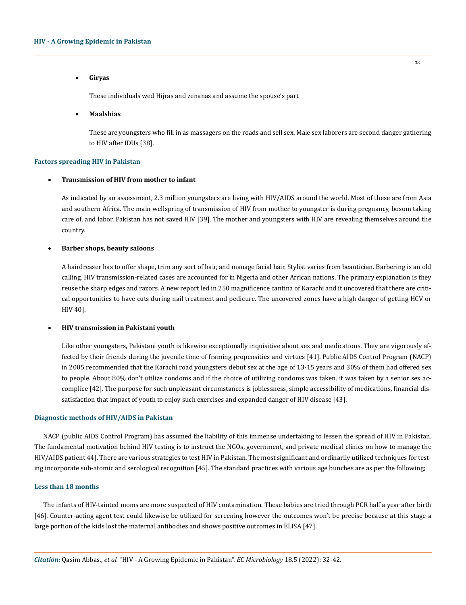#### • **Giryas**

These individuals wed Hijras and zenanas and assume the spouse's part

• **Maalshias**

These are youngsters who fill in as massagers on the roads and sell sex. Male sex laborers are second danger gathering to HIV after IDUs [38].

## **Factors spreading HIV in Pakistan**

## **Transmission of HIV from mother to infant**

As indicated by an assessment, 2.3 million youngsters are living with HIV/AIDS around the world. Most of these are from Asia and southern Africa. The main wellspring of transmission of HIV from mother to youngster is during pregnancy, bosom taking care of, and labor. Pakistan has not saved HIV [39]. The mother and youngsters with HIV are revealing themselves around the country.

#### **Barber shops, beauty saloons**

A hairdresser has to offer shape, trim any sort of hair, and manage facial hair. Stylist varies from beautician. Barbering is an old calling. HIV transmission-related cases are accounted for in Nigeria and other African nations. The primary explanation is they reuse the sharp edges and razors. A new report led in 250 magnificence cantina of Karachi and it uncovered that there are critical opportunities to have cuts during nail treatment and pedicure. The uncovered zones have a high danger of getting HCV or HIV 40].

# • **HIV transmission in Pakistani youth**

Like other youngsters, Pakistani youth is likewise exceptionally inquisitive about sex and medications. They are vigorously affected by their friends during the juvenile time of framing propensities and virtues [41]. Public AIDS Control Program (NACP) in 2005 recommended that the Karachi road youngsters debut sex at the age of 13-15 years and 30% of them had offered sex to people. About 80% don't utilize condoms and if the choice of utilizing condoms was taken, it was taken by a senior sex accomplice [42]. The purpose for such unpleasant circumstances is joblessness, simple accessibility of medications, financial dissatisfaction that impact of youth to enjoy such exercises and expanded danger of HIV disease [43].

### **Diagnostic methods of HIV/AIDS in Pakistan**

NACP (public AIDS Control Program) has assumed the liability of this immense undertaking to lessen the spread of HIV in Pakistan. The fundamental motivation behind HIV testing is to instruct the NGOs, government, and private medical clinics on how to manage the HIV/AIDS patient 44]. There are various strategies to test HIV in Pakistan. The most significant and ordinarily utilized techniques for testing incorporate sub-atomic and serological recognition [45]. The standard practices with various age bunches are as per the following;

# **Less than 18 months**

The infants of HIV-tainted moms are more suspected of HIV contamination. These babies are tried through PCR half a year after birth [46]. Counter-acting agent test could likewise be utilized for screening however the outcomes won't be precise because at this stage a large portion of the kids lost the maternal antibodies and shows positive outcomes in ELISA [47].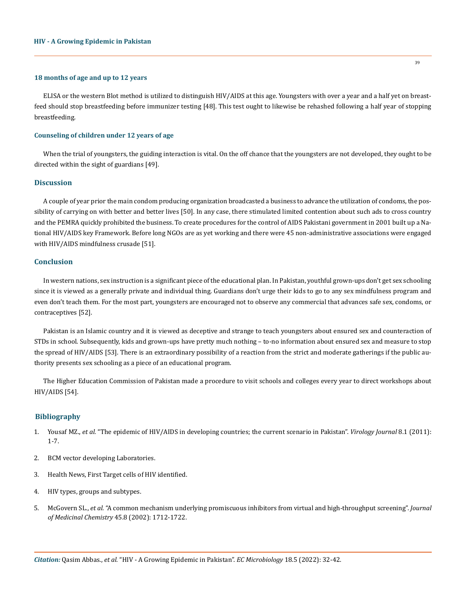#### **18 months of age and up to 12 years**

ELISA or the western Blot method is utilized to distinguish HIV/AIDS at this age. Youngsters with over a year and a half yet on breastfeed should stop breastfeeding before immunizer testing [48]. This test ought to likewise be rehashed following a half year of stopping breastfeeding.

# **Counseling of children under 12 years of age**

When the trial of youngsters, the guiding interaction is vital. On the off chance that the youngsters are not developed, they ought to be directed within the sight of guardians [49].

# **Discussion**

A couple of year prior the main condom producing organization broadcasted a business to advance the utilization of condoms, the possibility of carrying on with better and better lives [50]. In any case, there stimulated limited contention about such ads to cross country and the PEMRA quickly prohibited the business. To create procedures for the control of AIDS Pakistani government in 2001 built up a National HIV/AIDS key Framework. Before long NGOs are as yet working and there were 45 non-administrative associations were engaged with HIV/AIDS mindfulness crusade [51].

#### **Conclusion**

In western nations, sex instruction is a significant piece of the educational plan. In Pakistan, youthful grown-ups don't get sex schooling since it is viewed as a generally private and individual thing. Guardians don't urge their kids to go to any sex mindfulness program and even don't teach them. For the most part, youngsters are encouraged not to observe any commercial that advances safe sex, condoms, or contraceptives [52].

Pakistan is an Islamic country and it is viewed as deceptive and strange to teach youngsters about ensured sex and counteraction of STDs in school. Subsequently, kids and grown-ups have pretty much nothing – to-no information about ensured sex and measure to stop the spread of HIV/AIDS [53]. There is an extraordinary possibility of a reaction from the strict and moderate gatherings if the public authority presents sex schooling as a piece of an educational program.

The Higher Education Commission of Pakistan made a procedure to visit schools and colleges every year to direct workshops about HIV/AIDS [54].

#### **Bibliography**

- 1. Yousaf MZ., *et al.* ["The epidemic of HIV/AIDS in developing countries; the current scenario in Pakistan".](https://virologyj.biomedcentral.com/articles/10.1186/1743-422X-8-401) *Virology Journal* 8.1 (2011): [1-7.](https://virologyj.biomedcentral.com/articles/10.1186/1743-422X-8-401)
- 2. BCM vector developing Laboratories.
- 3. Health News, First Target cells of HIV identified.
- 4. HIV types, groups and subtypes.
- 5. McGovern SL., *et al.* ["A common mechanism underlying promiscuous inhibitors from virtual and high-throughput screening".](https://pubs.acs.org/doi/10.1021/jm010533y) *Journal [of Medicinal Chemistry](https://pubs.acs.org/doi/10.1021/jm010533y)* 45.8 (2002): 1712-1722.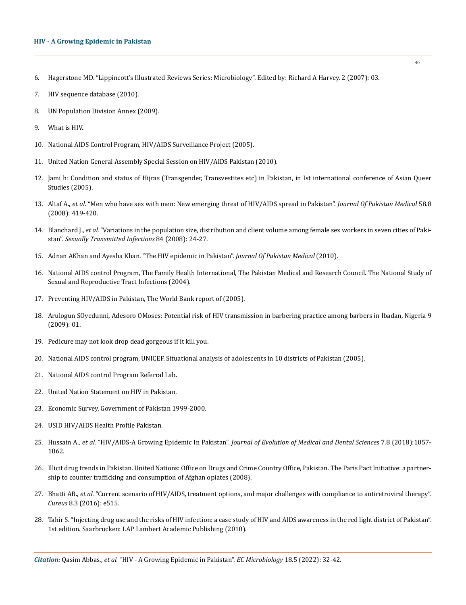# **HIV - A Growing Epidemic in Pakistan**

- 6. Hagerstone MD. "Lippincott's Illustrated Reviews Series: Microbiology". Edited by: Richard A Harvey. 2 (2007): 03.
- 7. [HIV sequence database \(2010\).](https://www.ncbi.nlm.nih.gov/pmc/articles/PMC2613779/)
- 8. UN Population Division Annex (2009).
- 9. What is HIV.
- 10. National AIDS Control Program, HIV/AIDS Surveillance Project (2005).
- 11. [United Nation General Assembly Special Session on HIV/AIDS Pakistan \(2010\).](https://www.hivpolicy.org/biogs/HPE0320b.htm)
- 12. [Jami h: Condition and status of Hijras \(Transgender, Transvestites etc\) in Pakistan, in Ist international conference of Asian Queer](https://www.researchgate.net/publication/294427308_Condition_and_status_of_hijras_transgender_transvestites_etc_in_Pakistan_country_report)  [Studies \(2005\).](https://www.researchgate.net/publication/294427308_Condition_and_status_of_hijras_transgender_transvestites_etc_in_Pakistan_country_report)
- 13. Altaf A., *et al.* ["Men who have sex with men: New emerging threat of HIV/AIDS spread in Pakistan".](https://pubmed.ncbi.nlm.nih.gov/18822635/) *Journal Of Pakistan Medical* 58.8 [\(2008\): 419-420.](https://pubmed.ncbi.nlm.nih.gov/18822635/)
- 14. Blanchard J., *et al.* ["Variations in the population size, distribution and client volume among female sex workers in seven cities of Paki](https://pubmed.ncbi.nlm.nih.gov/18799488/)stan". *[Sexually Transmitted Infections](https://pubmed.ncbi.nlm.nih.gov/18799488/)* 84 (2008): 24-27.
- 15. [Adnan AKhan and Ayesha Khan. "The HIV epidemic in Pakistan".](https://en.wikipedia.org/wiki/HIV/AIDS_in_Pakistan) *Journal Of Pakistan Medical* (2010).
- 16. National AIDS control Program, The Family Health International, The Pakistan Medical and Research Council. The National Study of Sexual and Reproductive Tract Infections (2004).
- 17. Preventing HIV/AIDS in Pakistan, The World Bank report of (2005).
- 18. Arulogun SOyedunni, Adesoro OMoses: Potential risk of HIV transmission in barbering practice among barbers in Ibadan, Nigeria 9 (2009): 01.
- 19. Pedicure may not look drop dead gorgeous if it kill you.
- 20. National AIDS control program, UNICEF. Situational analysis of adolescents in 10 districts of Pakistan (2005).
- 21. National AIDS control Program Referral Lab.
- 22. United Nation Statement on HIV in Pakistan.
- 23. Economic Survey, Government of Pakistan 1999-2000.
- 24. USID HIV/AIDS Health Profile Pakistan.
- 25. Hussain A., *et al.* "HIV/AIDS-A Growing Epidemic In Pakistan". *[Journal of Evolution of Medical and Dental Sciences](https://www.researchgate.net/publication/323395974_HIVAIDS-A_Growing_Epidemic_in_Pakistan)* 7.8 (2018):1057- [1062.](https://www.researchgate.net/publication/323395974_HIVAIDS-A_Growing_Epidemic_in_Pakistan)
- 26. [Illicit drug trends in Pakistan. United Nations: Office on Drugs and Crime Country Office, Pakistan. The Paris Pact Initiative: a partner](https://www.unodc.org/unodc/en/drug-trafficking/central-asia.html)[ship to counter trafficking and consumption of Afghan opiates \(2008\).](https://www.unodc.org/unodc/en/drug-trafficking/central-asia.html)
- 27. Bhatti AB., *et al.* ["Current scenario of HIV/AIDS, treatment options, and major challenges with compliance to antiretroviral therapy".](https://www.ncbi.nlm.nih.gov/pmc/articles/PMC4818110/)  *Cureus* [8.3 \(2016\): e515.](https://www.ncbi.nlm.nih.gov/pmc/articles/PMC4818110/)
- 28. Tahir S. "Injecting drug use and the risks of HIV infection: a case study of HIV and AIDS awareness in the red light district of Pakistan". 1st edition. Saarbrücken: LAP Lambert Academic Publishing (2010).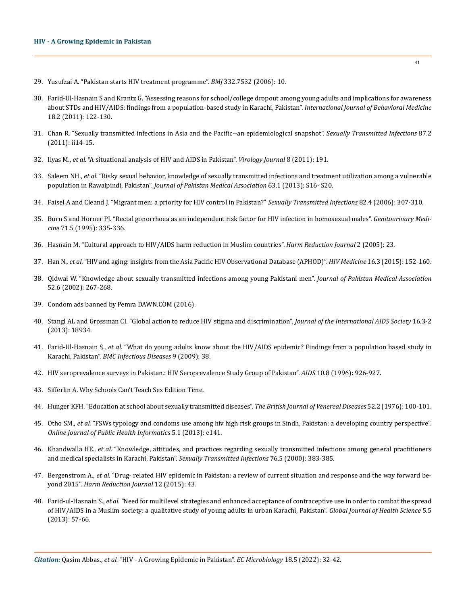- 29. [Yusufzai A. "Pakistan starts HIV treatment programme".](https://www.bmj.com/content/332/7532/10.8) *BMJ* 332.7532 (2006): 10.
- 30. [Farid-Ul-Hasnain S and Krantz G. "Assessing reasons for school/college dropout among young adults and implications for awareness](https://pubmed.ncbi.nlm.nih.gov/20108133/)  [about STDs and HIV/AIDS: findings from a population-based study in Karachi, Pakistan".](https://pubmed.ncbi.nlm.nih.gov/20108133/) *International Journal of Behavioral Medicine* [18.2 \(2011\): 122-130.](https://pubmed.ncbi.nlm.nih.gov/20108133/)
- 31. [Chan R. "Sexually transmitted infections in Asia and the Pacific--an epidemiological snapshot".](https://www.ncbi.nlm.nih.gov/pmc/articles/PMC3612844/) *Sexually Transmitted Infections* 87.2 [\(2011\): ii14-15.](https://www.ncbi.nlm.nih.gov/pmc/articles/PMC3612844/)
- 32. Ilyas M., *et al.* ["A situational analysis of HIV and AIDS in Pakistan".](https://virologyj.biomedcentral.com/articles/10.1186/1743-422X-8-191) *Virology Journal* 8 (2011): 191.
- 33. Saleem NH., *et al.* ["Risky sexual behavior, knowledge of sexually transmitted infections and treatment utilization among a vulnerable](https://pubmed.ncbi.nlm.nih.gov/19058600/)  population in Rawalpindi, Pakistan". *[Journal of Pakistan Medical Association](https://pubmed.ncbi.nlm.nih.gov/19058600/)* 63.1 (2013): S16- S20.
- 34. [Faisel A and Cleand J. "Migrant men: a priority for HIV control in Pakistan?"](https://sti.bmj.com/content/82/4/307) *Sexually Transmitted Infections* 82.4 (2006): 307-310.
- 35. [Burn S and Horner PJ. "Rectal gonorrhoea as an independent risk factor for HIV infection in homosexual males".](https://pubmed.ncbi.nlm.nih.gov/7635489/) *Genitourinary Medicine* [71.5 \(1995\): 335-336.](https://pubmed.ncbi.nlm.nih.gov/7635489/)
- 36. [Hasnain M. "Cultural approach to HIV/AIDS harm reduction in Muslim countries".](https://harmreductionjournal.biomedcentral.com/articles/10.1186/1477-7517-2-23) *Harm Reduction Journal* 2 (2005): 23.
- 37. Han N., *et al*[. "HIV and aging: insights from the Asia Pacific HIV Observational Database \(APHOD\)".](https://pubmed.ncbi.nlm.nih.gov/25407085/) *HIV Medicine* 16.3 (2015): 152-160.
- 38. [Qidwai W. "Knowledge about sexually transmitted infections among young Pakistani men".](https://pubmed.ncbi.nlm.nih.gov/12481640/) *Journal of Pakistan Medical Association*  [52.6 \(2002\): 267-268.](https://pubmed.ncbi.nlm.nih.gov/12481640/)
- 39. Condom ads banned by Pemra DAWN.COM (2016).
- 40. [Stangl AL and Grossman CI. "Global action to reduce HIV stigma and discrimination".](https://www.ncbi.nlm.nih.gov/pmc/articles/PMC3833103/) *Journal of the International AIDS Society* 16.3-2 [\(2013\): 18934.](https://www.ncbi.nlm.nih.gov/pmc/articles/PMC3833103/)
- 41. Farid-Ul-Hasnain S., *et al.* ["What do young adults know about the HIV/AIDS epidemic? Findings from a population based study in](https://bmcinfectdis.biomedcentral.com/articles/10.1186/1471-2334-9-38)  Karachi, Pakistan". *[BMC Infectious Diseases](https://bmcinfectdis.biomedcentral.com/articles/10.1186/1471-2334-9-38)* 9 (2009): 38.
- 42. [HIV seroprevalence surveys in Pakistan.: HIV Seroprevalence Study Group of Pakistan".](https://www.researchgate.net/publication/216573052_HIVAIDS_in_Pakistan_has_the_explosion_begun) *AIDS* 10.8 (1996): 926-927.
- 43. Sifferlin A. Why Schools Can't Teach Sex Edition Time.
- 44. [Hunger KFH. "Education at school about sexually transmitted diseases".](https://pubmed.ncbi.nlm.nih.gov/946779/) *The British Journal of Venereal Diseases* 52.2 (1976): 100-101.
- 45. Otho SM., *et al.* ["FSWs typology and condoms use among hiv high risk groups in Sindh, Pakistan: a developing country perspective".](https://www.ncbi.nlm.nih.gov/pmc/articles/PMC3692789/)  *[Online Journal of Public Health Informatics](https://www.ncbi.nlm.nih.gov/pmc/articles/PMC3692789/)* 5.1 (2013): e141.
- 46. Khandwalla HE., *et al.* ["Knowledge, attitudes, and practices regarding sexually transmitted infections among general practitioners](https://pubmed.ncbi.nlm.nih.gov/16689481/)  [and medical specialists in Karachi, Pakistan".](https://pubmed.ncbi.nlm.nih.gov/16689481/) *Sexually Transmitted Infections* 76.5 (2000): 383-385.
- 47. Bergenstrom A., *et al*[. "Drug- related HIV epidemic in Pakistan: a review of current situation and response and the way forward be](https://www.ncbi.nlm.nih.gov/pmc/articles/PMC4608141/)yond 2015". *[Harm Reduction Journal](https://www.ncbi.nlm.nih.gov/pmc/articles/PMC4608141/)* 12 (2015): 43.
- 48. Farid-ul-Hasnain S., *et al. "*[Need for multilevel strategies and enhanced acceptance of contraceptive use in order to combat the spread](https://www.researchgate.net/publication/256200710_Need_for_Multilevel_Strategies_and_Enhanced_Acceptance_of_Contraceptive_Use_in_Order_to_Combat_the_Spread_of_HIVAIDS_in_a_Muslim_Society_A_Qualitative_Study_of_Young_Adults_in_Urban_Karachi_Pakistan)  [of HIV/AIDS in a Muslim society: a qualitative study of young adults in urban Karachi, Pakistan".](https://www.researchgate.net/publication/256200710_Need_for_Multilevel_Strategies_and_Enhanced_Acceptance_of_Contraceptive_Use_in_Order_to_Combat_the_Spread_of_HIVAIDS_in_a_Muslim_Society_A_Qualitative_Study_of_Young_Adults_in_Urban_Karachi_Pakistan) *Global Journal of Health Science* 5.5 [\(2013\): 57-66.](https://www.researchgate.net/publication/256200710_Need_for_Multilevel_Strategies_and_Enhanced_Acceptance_of_Contraceptive_Use_in_Order_to_Combat_the_Spread_of_HIVAIDS_in_a_Muslim_Society_A_Qualitative_Study_of_Young_Adults_in_Urban_Karachi_Pakistan)